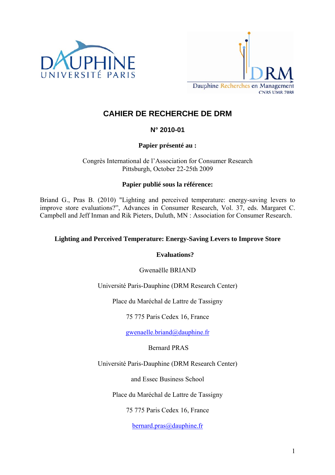



# **CAHIER DE RECHERCHE DE DRM**

# **N° 2010-01**

# **Papier présenté au :**

Congrès International de l'Association for Consumer Research Pittsburgh, October 22-25th 2009

## **Papier publié sous la référence:**

Briand G., Pras B. (2010) "Lighting and perceived temperature: energy-saving levers to improve store evaluations?", Advances in Consumer Research, Vol. 37, eds. Margaret C. Campbell and Jeff Inman and Rik Pieters, Duluth, MN : Association for Consumer Research.

## **Lighting and Perceived Temperature: Energy-Saving Levers to Improve Store**

## **Evaluations?**

Gwenaëlle BRIAND

Université Paris-Dauphine (DRM Research Center)

Place du Maréchal de Lattre de Tassigny

75 775 Paris Cedex 16, France

[gwenaelle.briand@dauphine.fr](mailto:gwenaelle.briand@dauphine.fr)

# Bernard PRAS

Université Paris-Dauphine (DRM Research Center)

and Essec Business School

Place du Maréchal de Lattre de Tassigny

75 775 Paris Cedex 16, France

[bernard.pras@dauphine.fr](mailto:bernard.pras@dauphine.fr)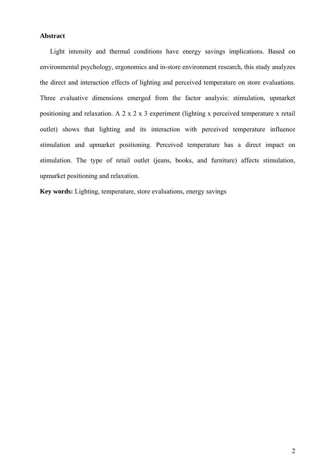## **Abstract**

Light intensity and thermal conditions have energy savings implications. Based on environmental psychology, ergonomics and in-store environment research, this study analyzes the direct and interaction effects of lighting and perceived temperature on store evaluations. Three evaluative dimensions emerged from the factor analysis: stimulation, upmarket positioning and relaxation. A 2 x 2 x 3 experiment (lighting x perceived temperature x retail outlet) shows that lighting and its interaction with perceived temperature influence stimulation and upmarket positioning. Perceived temperature has a direct impact on stimulation. The type of retail outlet (jeans, books, and furniture) affects stimulation, upmarket positioning and relaxation.

**Key words:** Lighting, temperature, store evaluations, energy savings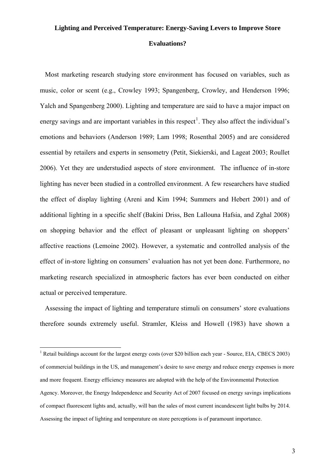# **Lighting and Perceived Temperature: Energy-Saving Levers to Improve Store**

#### **Evaluations?**

Most marketing research studying store environment has focused on variables, such as music, color or scent (e.g., Crowley 1993; Spangenberg, Crowley, and Henderson 1996; Yalch and Spangenberg 2000). Lighting and temperature are said to have a major impact on energy savings and are important variables in this respect<sup>[1](#page-2-0)</sup>. They also affect the individual's emotions and behaviors (Anderson 1989; Lam 1998; Rosenthal 2005) and are considered essential by retailers and experts in sensometry (Petit, Siekierski, and Lageat 2003; Roullet 2006). Yet they are understudied aspects of store environment. The influence of in-store lighting has never been studied in a controlled environment. A few researchers have studied the effect of display lighting (Areni and Kim 1994; Summers and Hebert 2001) and of additional lighting in a specific shelf (Bakini Driss, Ben Lallouna Hafsia, and Zghal 2008) on shopping behavior and the effect of pleasant or unpleasant lighting on shoppers' affective reactions (Lemoine 2002). However, a systematic and controlled analysis of the effect of in-store lighting on consumers' evaluation has not yet been done. Furthermore, no marketing research specialized in atmospheric factors has ever been conducted on either actual or perceived temperature.

Assessing the impact of lighting and temperature stimuli on consumers' store evaluations therefore sounds extremely useful. Stramler, Kleiss and Howell (1983) have shown a

l

<span id="page-2-0"></span><sup>&</sup>lt;sup>1</sup> Retail buildings account for the largest energy costs (over \$20 billion each year - Source, EIA, CBECS 2003) of commercial buildings in the US, and management's desire to save energy and reduce energy expenses is more and more frequent. Energy efficiency measures are adopted with the help of the Environmental Protection Agency. Moreover, the Energy Independence and Security Act of 2007 focused on energy savings implications of compact fluorescent lights and, actually, will ban the sales of most current incandescent light bulbs by 2014. Assessing the impact of lighting and temperature on store perceptions is of paramount importance.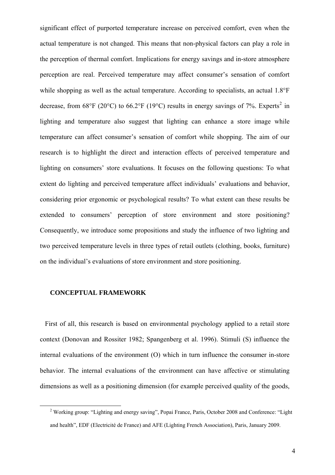significant effect of purported temperature increase on perceived comfort, even when the actual temperature is not changed. This means that non-physical factors can play a role in the perception of thermal comfort. Implications for energy savings and in-store atmosphere perception are real. Perceived temperature may affect consumer's sensation of comfort while shopping as well as the actual temperature. According to specialists, an actual 1.8°F decrease, from 68°F ([2](#page-3-0)0°C) to 66.2°F (19°C) results in energy savings of 7%. Experts<sup>2</sup> in lighting and temperature also suggest that lighting can enhance a store image while temperature can affect consumer's sensation of comfort while shopping. The aim of our research is to highlight the direct and interaction effects of perceived temperature and lighting on consumers' store evaluations. It focuses on the following questions: To what extent do lighting and perceived temperature affect individuals' evaluations and behavior, considering prior ergonomic or psychological results? To what extent can these results be extended to consumers' perception of store environment and store positioning? Consequently, we introduce some propositions and study the influence of two lighting and two perceived temperature levels in three types of retail outlets (clothing, books, furniture) on the individual's evaluations of store environment and store positioning.

### **CONCEPTUAL FRAMEWORK**

First of all, this research is based on environmental psychology applied to a retail store context (Donovan and Rossiter 1982; Spangenberg et al. 1996). Stimuli (S) influence the internal evaluations of the environment (O) which in turn influence the consumer in-store behavior. The internal evaluations of the environment can have affective or stimulating dimensions as well as a positioning dimension (for example perceived quality of the goods,

<span id="page-3-0"></span> $\frac{1}{2}$ <sup>2</sup> Working group: "Lighting and energy saving", Popai France, Paris, October 2008 and Conference: "Light" and health", EDF (Electricité de France) and AFE (Lighting French Association), Paris, January 2009.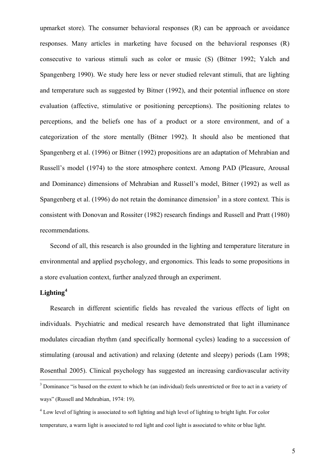upmarket store). The consumer behavioral responses (R) can be approach or avoidance responses. Many articles in marketing have focused on the behavioral responses (R) consecutive to various stimuli such as color or music (S) (Bitner 1992; Yalch and Spangenberg 1990). We study here less or never studied relevant stimuli, that are lighting and temperature such as suggested by Bitner (1992), and their potential influence on store evaluation (affective, stimulative or positioning perceptions). The positioning relates to perceptions, and the beliefs one has of a product or a store environment, and of a categorization of the store mentally (Bitner 1992). It should also be mentioned that Spangenberg et al. (1996) or Bitner (1992) propositions are an adaptation of Mehrabian and Russell's model (1974) to the store atmosphere context. Among PAD (Pleasure, Arousal and Dominance) dimensions of Mehrabian and Russell's model, Bitner (1992) as well as Spangenberg et al. (1996) do not retain the dominance dimension<sup>[3](#page-4-0)</sup> in a store context. This is consistent with Donovan and Rossiter (1982) research findings and Russell and Pratt (1980) recommendations.

Second of all, this research is also grounded in the lighting and temperature literature in environmental and applied psychology, and ergonomics. This leads to some propositions in a store evaluation context, further analyzed through an experiment.

## **Lighting[4](#page-4-1)**

Research in different scientific fields has revealed the various effects of light on individuals. Psychiatric and medical research have demonstrated that light illuminance modulates circadian rhythm (and specifically hormonal cycles) leading to a succession of stimulating (arousal and activation) and relaxing (detente and sleepy) periods (Lam 1998; Rosenthal 2005). Clinical psychology has suggested an increasing cardiovascular activity

<span id="page-4-0"></span><sup>&</sup>lt;sup>3</sup> Dominance "is based on the extent to which he (an individual) feels unrestricted or free to act in a variety of ways" (Russell and Mehrabian, 1974: 19).

<span id="page-4-1"></span><sup>&</sup>lt;sup>4</sup> Low level of lighting is associated to soft lighting and high level of lighting to bright light. For color temperature, a warm light is associated to red light and cool light is associated to white or blue light.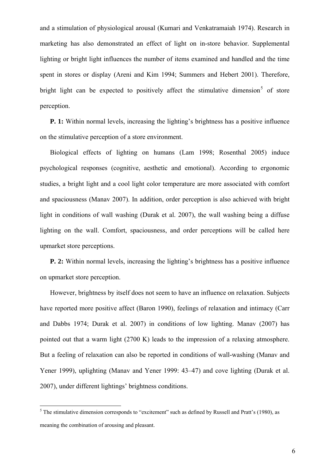and a stimulation of physiological arousal (Kumari and Venkatramaiah 1974). Research in marketing has also demonstrated an effect of light on in-store behavior. Supplemental lighting or bright light influences the number of items examined and handled and the time spent in stores or display (Areni and Kim 1994; Summers and Hebert 2001). Therefore, bright light can be expected to positively affect the stimulative dimension<sup>[5](#page-5-0)</sup> of store perception.

**P. 1:** Within normal levels, increasing the lighting's brightness has a positive influence on the stimulative perception of a store environment.

Biological effects of lighting on humans (Lam 1998; Rosenthal 2005) induce psychological responses (cognitive, aesthetic and emotional). According to ergonomic studies, a bright light and a cool light color temperature are more associated with comfort and spaciousness (Manav 2007). In addition, order perception is also achieved with bright light in conditions of wall washing (Durak et al. 2007), the wall washing being a diffuse lighting on the wall. Comfort, spaciousness, and order perceptions will be called here upmarket store perceptions.

**P. 2:** Within normal levels, increasing the lighting's brightness has a positive influence on upmarket store perception.

However, brightness by itself does not seem to have an influence on relaxation. Subjects have reported more positive affect (Baron 1990), feelings of relaxation and intimacy (Carr and Dabbs 1974; Durak et al. 2007) in conditions of low lighting. Manav (2007) has pointed out that a warm light (2700 K) leads to the impression of a relaxing atmosphere. But a feeling of relaxation can also be reported in conditions of wall-washing (Manav and Yener 1999), uplighting (Manav and Yener 1999: 43–47) and cove lighting (Durak et al. 2007), under different lightings' brightness conditions.

l

<span id="page-5-0"></span> $<sup>5</sup>$  The stimulative dimension corresponds to "excitement" such as defined by Russell and Pratt's (1980), as</sup> meaning the combination of arousing and pleasant.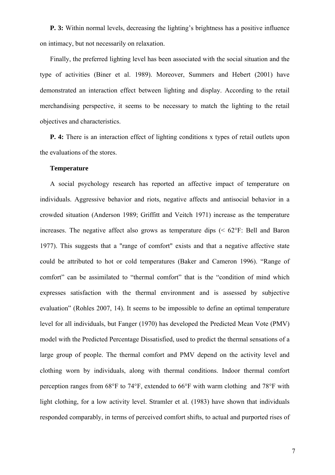**P. 3:** Within normal levels, decreasing the lighting's brightness has a positive influence on intimacy, but not necessarily on relaxation.

Finally, the preferred lighting level has been associated with the social situation and the type of activities (Biner et al. 1989). Moreover, Summers and Hebert (2001) have demonstrated an interaction effect between lighting and display. According to the retail merchandising perspective, it seems to be necessary to match the lighting to the retail objectives and characteristics.

**P. 4:** There is an interaction effect of lighting conditions x types of retail outlets upon the evaluations of the stores.

## **Temperature**

A social psychology research has reported an affective impact of temperature on individuals. Aggressive behavior and riots, negative affects and antisocial behavior in a crowded situation (Anderson 1989; Griffitt and Veitch 1971) increase as the temperature increases. The negative affect also grows as temperature dips  $( $62^{\circ}$ F: Bell and Baron$ 1977). This suggests that a "range of comfort" exists and that a negative affective state could be attributed to hot or cold temperatures (Baker and Cameron 1996). "Range of comfort" can be assimilated to "thermal comfort" that is the "condition of mind which expresses satisfaction with the thermal environment and is assessed by subjective evaluation" (Rohles 2007, 14). It seems to be impossible to define an optimal temperature level for all individuals, but Fanger (1970) has developed the Predicted Mean Vote (PMV) model with the Predicted Percentage Dissatisfied, used to predict the thermal sensations of a large group of people. The thermal comfort and PMV depend on the activity level and clothing worn by individuals, along with thermal conditions. Indoor thermal comfort perception ranges from 68°F to 74°F, extended to 66°F with warm clothing and 78°F with light clothing, for a low activity level. Stramler et al. (1983) have shown that individuals responded comparably, in terms of perceived comfort shifts, to actual and purported rises of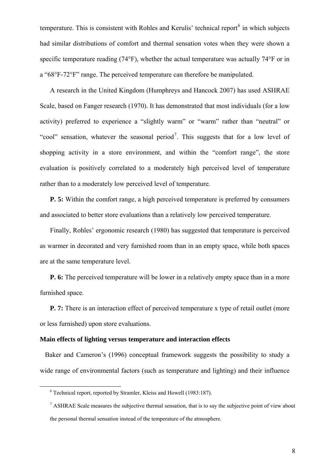temperature. This is consistent with Rohles and Kerulis' technical report $6$  in which subjects had similar distributions of comfort and thermal sensation votes when they were shown a specific temperature reading (74°F), whether the actual temperature was actually 74°F or in a "68°F-72°F" range. The perceived temperature can therefore be manipulated.

A research in the United Kingdom (Humphreys and Hancock 2007) has used ASHRAE Scale, based on Fanger research (1970). It has demonstrated that most individuals (for a low activity) preferred to experience a "slightly warm" or "warm" rather than "neutral" or "cool" sensation, whatever the seasonal period<sup>[7](#page-7-1)</sup>. This suggests that for a low level of shopping activity in a store environment, and within the "comfort range", the store evaluation is positively correlated to a moderately high perceived level of temperature rather than to a moderately low perceived level of temperature.

**P. 5:** Within the comfort range, a high perceived temperature is preferred by consumers and associated to better store evaluations than a relatively low perceived temperature.

Finally, Rohles' ergonomic research (1980) has suggested that temperature is perceived as warmer in decorated and very furnished room than in an empty space, while both spaces are at the same temperature level.

**P. 6:** The perceived temperature will be lower in a relatively empty space than in a more furnished space.

**P. 7:** There is an interaction effect of perceived temperature x type of retail outlet (more or less furnished) upon store evaluations.

## **Main effects of lighting versus temperature and interaction effects**

Baker and Cameron's (1996) conceptual framework suggests the possibility to study a wide range of environmental factors (such as temperature and lighting) and their influence

<span id="page-7-1"></span><span id="page-7-0"></span><sup>6</sup> Technical report, reported by Stramler, Kleiss and Howell (1983:187).

<sup>&</sup>lt;sup>7</sup> ASHRAE Scale measures the subjective thermal sensation, that is to say the subjective point of view about the personal thermal sensation instead of the temperature of the atmosphere.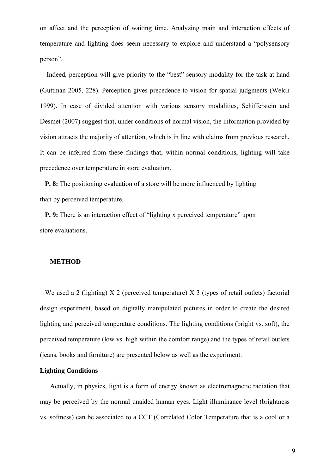on affect and the perception of waiting time. Analyzing main and interaction effects of temperature and lighting does seem necessary to explore and understand a "polysensory person".

 Indeed, perception will give priority to the "best" sensory modality for the task at hand (Guttman 2005, 228). Perception gives precedence to vision for spatial judgments (Welch 1999). In case of divided attention with various sensory modalities, Schifferstein and Desmet (2007) suggest that, under conditions of normal vision, the information provided by vision attracts the majority of attention, which is in line with claims from previous research. It can be inferred from these findings that, within normal conditions, lighting will take precedence over temperature in store evaluation.

**P. 8:** The positioning evaluation of a store will be more influenced by lighting than by perceived temperature.

**P. 9:** There is an interaction effect of "lighting x perceived temperature" upon store evaluations.

#### **METHOD**

We used a 2 (lighting) X 2 (perceived temperature) X 3 (types of retail outlets) factorial design experiment, based on digitally manipulated pictures in order to create the desired lighting and perceived temperature conditions. The lighting conditions (bright vs. soft), the perceived temperature (low vs. high within the comfort range) and the types of retail outlets (jeans, books and furniture) are presented below as well as the experiment.

## **Lighting Conditions**

Actually, in physics, light is a form of energy known as electromagnetic radiation that may be perceived by the normal unaided human eyes. Light illuminance level (brightness vs. softness) can be associated to a CCT (Correlated Color Temperature that is a cool or a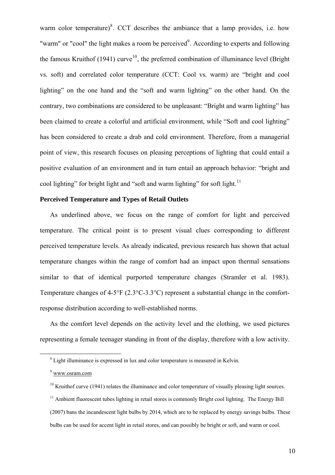warm color temperature)<sup>[8](#page-9-0)</sup>. CCT describes the ambiance that a lamp provides, i.e. how "warm" or "cool" the light makes a room be perceived $\alpha$ <sup>[9](#page-9-1)</sup>. According to experts and following the famous Kruithof (1941) curve<sup>[10](#page-9-2)</sup>, the preferred combination of illuminance level (Bright) vs*.* soft) and correlated color temperature (CCT: Cool vs*.* warm) are "bright and cool lighting" on the one hand and the "soft and warm lighting" on the other hand. On the contrary, two combinations are considered to be unpleasant: "Bright and warm lighting" has been claimed to create a colorful and artificial environment, while "Soft and cool lighting" has been considered to create a drab and cold environment. Therefore, from a managerial point of view, this research focuses on pleasing perceptions of lighting that could entail a positive evaluation of an environment and in turn entail an approach behavior: "bright and cool lighting" for bright light and "soft and warm lighting" for soft light.<sup>[11](#page-9-3)</sup>

### **Perceived Temperature and Types of Retail Outlets**

As underlined above, we focus on the range of comfort for light and perceived temperature. The critical point is to present visual clues corresponding to different perceived temperature levels. As already indicated, previous research has shown that actual temperature changes within the range of comfort had an impact upon thermal sensations similar to that of identical purported temperature changes (Stramler et al. 1983). Temperature changes of 4-5°F (2.3°C-3.3°C) represent a substantial change in the comfortresponse distribution according to well-established norms.

As the comfort level depends on the activity level and the clothing, we used pictures representing a female teenager standing in front of the display, therefore with a low activity.

<span id="page-9-1"></span><span id="page-9-0"></span><sup>8</sup> <sup>8</sup> Light illuminance is expressed in lux and color temperature is measured in Kelvin.

<sup>9</sup> [www.osram.com](http://www.osram.com/)

<span id="page-9-2"></span> $10$  Kruithof curve (1941) relates the illuminance and color temperature of visually pleasing light sources.

<span id="page-9-3"></span> $11$  Ambient fluorescent tubes lighting in retail stores is commonly Bright cool lighting. The Energy Bill

<sup>(2007)</sup> bans the incandescent light bulbs by 2014, which are to be replaced by energy savings bulbs. These bulbs can be used for accent light in retail stores, and can possibly be bright or soft, and warm or cool.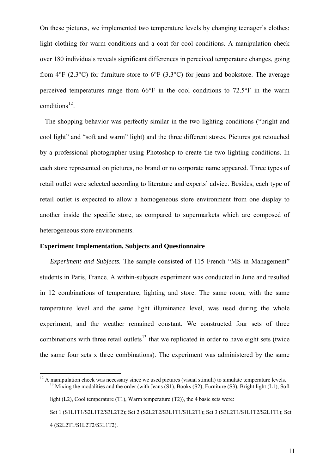On these pictures, we implemented two temperature levels by changing teenager's clothes: light clothing for warm conditions and a coat for cool conditions. A manipulation check over 180 individuals reveals significant differences in perceived temperature changes, going from  $4^{\circ}F$  (2.3 $^{\circ}C$ ) for furniture store to  $6^{\circ}F$  (3.3 $^{\circ}C$ ) for jeans and bookstore. The average perceived temperatures range from 66°F in the cool conditions to 72.5°F in the warm conditions $^{12}$  $^{12}$  $^{12}$ .

The shopping behavior was perfectly similar in the two lighting conditions ("bright and cool light" and "soft and warm" light) and the three different stores. Pictures got retouched by a professional photographer using Photoshop to create the two lighting conditions. In each store represented on pictures, no brand or no corporate name appeared. Three types of retail outlet were selected according to literature and experts' advice. Besides, each type of retail outlet is expected to allow a homogeneous store environment from one display to another inside the specific store, as compared to supermarkets which are composed of heterogeneous store environments.

#### **Experiment Implementation, Subjects and Questionnaire**

*Experiment and Subjects.* The sample consisted of 115 French "MS in Management" students in Paris, France. A within-subjects experiment was conducted in June and resulted in 12 combinations of temperature, lighting and store. The same room, with the same temperature level and the same light illuminance level, was used during the whole experiment, and the weather remained constant. We constructed four sets of three combinations with three retail outlets<sup>[13](#page-10-1)</sup> that we replicated in order to have eight sets (twice the same four sets x three combinations). The experiment was administered by the same

<span id="page-10-1"></span><span id="page-10-0"></span> $12$  A manipulation check was necessary since we used pictures (visual stimuli) to simulate temperature levels. <sup>13</sup> Mixing the modalities and the order (with Jeans (S1), Books (S2), Furniture (S3), Bright light (L1), Soft light  $(L2)$ , Cool temperature  $(T1)$ , Warm temperature  $(T2)$ ), the 4 basic sets were: Set 1 (S1L1T1/S2L1T2/S3L2T2); Set 2 (S2L2T2/S3L1T1/S1L2T1); Set 3 (S3L2T1/S1L1T2/S2L1T1); Set 4 (S2L2T1/S1L2T2/S3L1T2).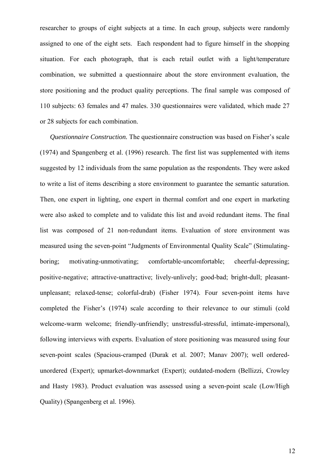researcher to groups of eight subjects at a time. In each group, subjects were randomly assigned to one of the eight sets. Each respondent had to figure himself in the shopping situation. For each photograph, that is each retail outlet with a light/temperature combination, we submitted a questionnaire about the store environment evaluation, the store positioning and the product quality perceptions. The final sample was composed of 110 subjects: 63 females and 47 males. 330 questionnaires were validated, which made 27 or 28 subjects for each combination.

*Questionnaire Construction.* The questionnaire construction was based on Fisher's scale (1974) and Spangenberg et al. (1996) research. The first list was supplemented with items suggested by 12 individuals from the same population as the respondents. They were asked to write a list of items describing a store environment to guarantee the semantic saturation. Then, one expert in lighting, one expert in thermal comfort and one expert in marketing were also asked to complete and to validate this list and avoid redundant items. The final list was composed of 21 non-redundant items. Evaluation of store environment was measured using the seven-point "Judgments of Environmental Quality Scale" (Stimulatingboring; motivating-unmotivating; comfortable-uncomfortable; cheerful-depressing; positive-negative; attractive-unattractive; lively-unlively; good-bad; bright-dull; pleasantunpleasant; relaxed-tense; colorful-drab) (Fisher 1974). Four seven-point items have completed the Fisher's (1974) scale according to their relevance to our stimuli (cold welcome-warm welcome; friendly-unfriendly; unstressful-stressful, intimate-impersonal), following interviews with experts. Evaluation of store positioning was measured using four seven-point scales (Spacious-cramped (Durak et al. 2007; Manav 2007); well orderedunordered (Expert); upmarket-downmarket (Expert); outdated-modern (Bellizzi, Crowley and Hasty 1983). Product evaluation was assessed using a seven-point scale (Low/High Quality) (Spangenberg et al. 1996).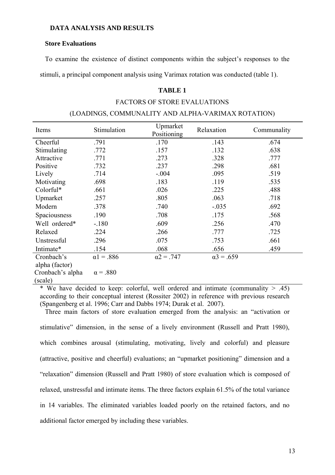## **DATA ANALYSIS AND RESULTS**

#### **Store Evaluations**

To examine the existence of distinct components within the subject's responses to the

stimuli, a principal component analysis using Varimax rotation was conducted (table 1).

## **TABLE 1**

#### FACTORS OF STORE EVALUATIONS

#### (LOADINGS, COMMUNALITY AND ALPHA-VARIMAX ROTATION)

| Items                        | Stimulation       | Upmarket<br>Positioning | Relaxation        | Communality |
|------------------------------|-------------------|-------------------------|-------------------|-------------|
| Cheerful                     | .791              | .170                    | .143              | .674        |
| Stimulating                  | .772              | .157                    | .132              | .638        |
| Attractive                   | .771              | .273                    | .328              | .777        |
| Positive                     | .732              | .237                    | .298              | .681        |
| Lively                       | .714              | $-.004$                 | .095              | .519        |
| Motivating                   | .698              | .183                    | .119              | .535        |
| Colorful*                    | .661              | .026                    | .225              | .488        |
| Upmarket                     | .257              | .805                    | .063              | .718        |
| Modern                       | .378              | .740                    | $-.035$           | .692        |
| Spaciousness                 | .190              | .708                    | .175              | .568        |
| Well ordered*                | $-180$            | .609                    | .256              | .470        |
| Relaxed                      | .224              | .266                    | .777              | .725        |
| Unstressful                  | .296              | .075                    | .753              | .661        |
| Intimate*                    | .154              | .068                    | .656              | .459        |
| Cronbach's<br>alpha (factor) | $\alpha$ 1 = .886 | $\alpha$ 2 = .747       | $\alpha$ 3 = .659 |             |
| Cronbach's alpha<br>(scale)  | $\alpha = .880$   |                         |                   |             |

\* We have decided to keep: colorful, well ordered and intimate (communality  $> .45$ ) according to their conceptual interest (Rossiter 2002) in reference with previous research (Spangenberg et al. 1996; Carr and Dabbs 1974; Durak et al. 2007).

Three main factors of store evaluation emerged from the analysis: an "activation or

stimulative" dimension, in the sense of a lively environment (Russell and Pratt 1980), which combines arousal (stimulating, motivating, lively and colorful) and pleasure (attractive, positive and cheerful) evaluations; an "upmarket positioning" dimension and a "relaxation" dimension (Russell and Pratt 1980) of store evaluation which is composed of relaxed, unstressful and intimate items. The three factors explain 61.5% of the total variance in 14 variables. The eliminated variables loaded poorly on the retained factors, and no additional factor emerged by including these variables.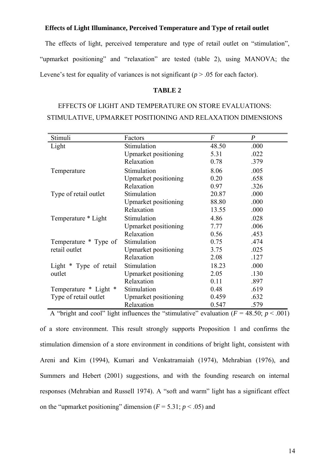## **Effects of Light Illuminance, Perceived Temperature and Type of retail outlet**

The effects of light, perceived temperature and type of retail outlet on "stimulation", "upmarket positioning" and "relaxation" are tested (table 2), using MANOVA; the Levene's test for equality of variances is not significant (*p* > .05 for each factor).

## **TABLE 2**

# EFFECTS OF LIGHT AND TEMPERATURE ON STORE EVALUATIONS: STIMULATIVE, UPMARKET POSITIONING AND RELAXATION DIMENSIONS

| Stimuli                                                                                        | Factors              | $\boldsymbol{F}$ | $\boldsymbol{P}$ |  |  |
|------------------------------------------------------------------------------------------------|----------------------|------------------|------------------|--|--|
| Light                                                                                          | Stimulation          | 48.50            | .000             |  |  |
|                                                                                                | Upmarket positioning | 5.31             | .022             |  |  |
|                                                                                                | Relaxation           | 0.78             | .379             |  |  |
| Temperature                                                                                    | Stimulation          | 8.06             | .005             |  |  |
|                                                                                                | Upmarket positioning | 0.20             | .658             |  |  |
|                                                                                                | Relaxation           | 0.97             | .326             |  |  |
| Type of retail outlet                                                                          | Stimulation          | 20.87            | .000             |  |  |
|                                                                                                | Upmarket positioning | 88.80            | .000             |  |  |
|                                                                                                | Relaxation           | 13.55            | .000             |  |  |
| Temperature * Light                                                                            | Stimulation          | 4.86             | .028             |  |  |
|                                                                                                | Upmarket positioning | 7.77             | .006             |  |  |
|                                                                                                | Relaxation           | 0.56             | .453             |  |  |
| Temperature * Type of                                                                          | Stimulation          | 0.75             | .474             |  |  |
| retail outlet                                                                                  | Upmarket positioning | 3.75             | .025             |  |  |
|                                                                                                | Relaxation           | 2.08             | .127             |  |  |
| Light * Type of retail                                                                         | Stimulation          | 18.23            | .000             |  |  |
| outlet                                                                                         | Upmarket positioning | 2.05             | .130             |  |  |
|                                                                                                | Relaxation           | 0.11             | .897             |  |  |
| Temperature * Light *                                                                          | Stimulation          | 0.48             | .619             |  |  |
| Type of retail outlet                                                                          | Upmarket positioning | 0.459            | .632             |  |  |
|                                                                                                | Relaxation           | 0.547            | .579             |  |  |
| A "bright and cool" light influences the "stimulative" evaluation ( $F = 48.50$ ; $p < .001$ ) |                      |                  |                  |  |  |

of a store environment. This result strongly supports Proposition 1 and confirms the stimulation dimension of a store environment in conditions of bright light, consistent with Areni and Kim (1994), Kumari and Venkatramaiah (1974), Mehrabian (1976), and Summers and Hebert (2001) suggestions, and with the founding research on internal responses (Mehrabian and Russell 1974). A "soft and warm" light has a significant effect on the "upmarket positioning" dimension  $(F = 5.31; p < .05)$  and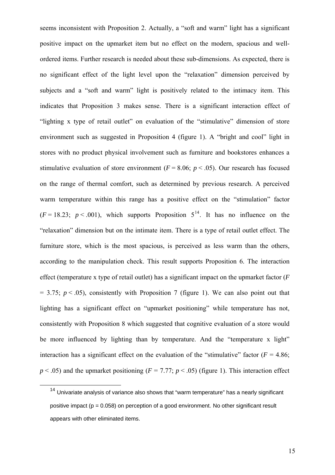seems inconsistent with Proposition 2. Actually, a "soft and warm" light has a significant positive impact on the upmarket item but no effect on the modern, spacious and wellordered items. Further research is needed about these sub-dimensions. As expected, there is no significant effect of the light level upon the "relaxation" dimension perceived by subjects and a "soft and warm" light is positively related to the intimacy item. This indicates that Proposition 3 makes sense. There is a significant interaction effect of "lighting x type of retail outlet" on evaluation of the "stimulative" dimension of store environment such as suggested in Proposition 4 (figure 1). A "bright and cool" light in stores with no product physical involvement such as furniture and bookstores enhances a stimulative evaluation of store environment  $(F = 8.06; p < .05)$ . Our research has focused on the range of thermal comfort, such as determined by previous research. A perceived warm temperature within this range has a positive effect on the "stimulation" factor  $(F = 18.23; p < .001)$ , which supports Proposition  $5^{14}$  $5^{14}$  $5^{14}$ . It has no influence on the "relaxation" dimension but on the intimate item. There is a type of retail outlet effect. The furniture store, which is the most spacious, is perceived as less warm than the others, according to the manipulation check. This result supports Proposition 6. The interaction effect (temperature x type of retail outlet) has a significant impact on the upmarket factor (*F*  $= 3.75$ ;  $p < .05$ ), consistently with Proposition 7 (figure 1). We can also point out that lighting has a significant effect on "upmarket positioning" while temperature has not, consistently with Proposition 8 which suggested that cognitive evaluation of a store would be more influenced by lighting than by temperature. And the "temperature x light" interaction has a significant effect on the evaluation of the "stimulative" factor ( $F = 4.86$ ;  $p < .05$ ) and the upmarket positioning ( $F = 7.77$ ;  $p < .05$ ) (figure 1). This interaction effect

<span id="page-14-0"></span><sup>&</sup>lt;sup>14</sup> Univariate analysis of variance also shows that "warm temperature" has a nearly significant positive impact ( $p = 0.058$ ) on perception of a good environment. No other significant result appears with other eliminated items.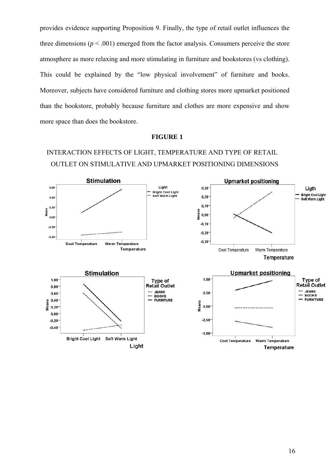provides evidence supporting Proposition 9. Finally, the type of retail outlet influences the three dimensions  $(p < .001)$  emerged from the factor analysis. Consumers perceive the store atmosphere as more relaxing and more stimulating in furniture and bookstores (vs clothing). This could be explained by the "low physical involvement" of furniture and books. Moreover, subjects have considered furniture and clothing stores more upmarket positioned than the bookstore, probably because furniture and clothes are more expensive and show more space than does the bookstore.

#### **FIGURE 1**

# INTERACTION EFFECTS OF LIGHT, TEMPERATURE AND TYPE OF RETAIL OUTLET ON STIMULATIVE AND UPMARKET POSITIONING DIMENSIONS

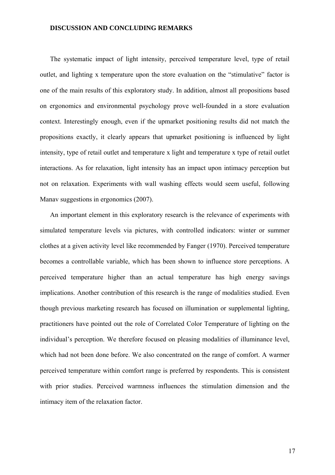#### **DISCUSSION AND CONCLUDING REMARKS**

The systematic impact of light intensity, perceived temperature level, type of retail outlet, and lighting x temperature upon the store evaluation on the "stimulative" factor is one of the main results of this exploratory study. In addition, almost all propositions based on ergonomics and environmental psychology prove well-founded in a store evaluation context. Interestingly enough, even if the upmarket positioning results did not match the propositions exactly, it clearly appears that upmarket positioning is influenced by light intensity, type of retail outlet and temperature x light and temperature x type of retail outlet interactions. As for relaxation, light intensity has an impact upon intimacy perception but not on relaxation. Experiments with wall washing effects would seem useful, following Manav suggestions in ergonomics (2007).

An important element in this exploratory research is the relevance of experiments with simulated temperature levels via pictures, with controlled indicators: winter or summer clothes at a given activity level like recommended by Fanger (1970). Perceived temperature becomes a controllable variable, which has been shown to influence store perceptions. A perceived temperature higher than an actual temperature has high energy savings implications. Another contribution of this research is the range of modalities studied. Even though previous marketing research has focused on illumination or supplemental lighting, practitioners have pointed out the role of Correlated Color Temperature of lighting on the individual's perception. We therefore focused on pleasing modalities of illuminance level, which had not been done before. We also concentrated on the range of comfort. A warmer perceived temperature within comfort range is preferred by respondents. This is consistent with prior studies. Perceived warmness influences the stimulation dimension and the intimacy item of the relaxation factor.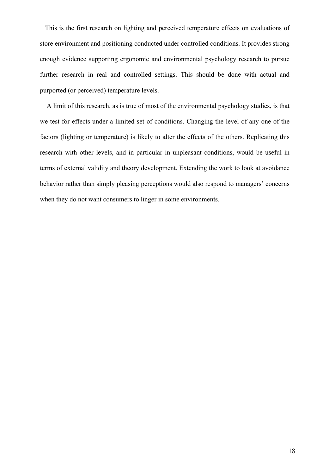This is the first research on lighting and perceived temperature effects on evaluations of store environment and positioning conducted under controlled conditions. It provides strong enough evidence supporting ergonomic and environmental psychology research to pursue further research in real and controlled settings. This should be done with actual and purported (or perceived) temperature levels.

 A limit of this research, as is true of most of the environmental psychology studies, is that we test for effects under a limited set of conditions. Changing the level of any one of the factors (lighting or temperature) is likely to alter the effects of the others. Replicating this research with other levels, and in particular in unpleasant conditions, would be useful in terms of external validity and theory development. Extending the work to look at avoidance behavior rather than simply pleasing perceptions would also respond to managers' concerns when they do not want consumers to linger in some environments.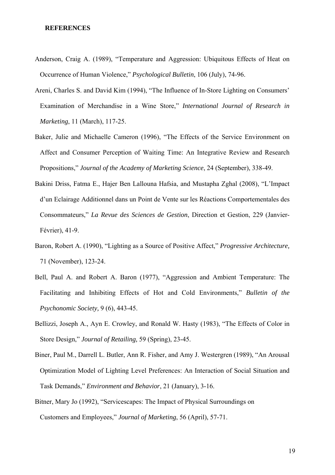#### **REFERENCES**

- Anderson, Craig A. (1989), "Temperature and Aggression: Ubiquitous Effects of Heat on Occurrence of Human Violence," *Psychological Bulletin*, 106 (July), 74-96.
- Areni, Charles S. and David Kim (1994), "The Influence of In-Store Lighting on Consumers' Examination of Merchandise in a Wine Store," *International Journal of Research in Marketing*, 11 (March), 117-25.
- Baker, Julie and Michaelle Cameron (1996), "The Effects of the Service Environment on Affect and Consumer Perception of Waiting Time: An Integrative Review and Research Propositions," *Journal of the Academy of Marketing Science*, 24 (September), 338-49.
- Bakini Driss, Fatma E., Hajer Ben Lallouna Hafsia, and Mustapha Zghal (2008), "L'Impact d'un Eclairage Additionnel dans un Point de Vente sur les Réactions Comportementales des Consommateurs," *La Revue des Sciences de Gestion*, Direction et Gestion, 229 (Janvier-Février), 41-9.
- Baron, Robert A. (1990), "Lighting as a Source of Positive Affect," *Progressive Architecture,*  71 (November), 123-24.
- Bell, Paul A. and Robert A. Baron (1977), "Aggression and Ambient Temperature: The Facilitating and Inhibiting Effects of Hot and Cold Environments," *Bulletin of the Psychonomic Society,* 9 (6), 443-45.
- Bellizzi, Joseph A., Ayn E. Crowley, and Ronald W. Hasty (1983), "The Effects of Color in Store Design," *Journal of Retailing,* 59 (Spring), 23-45.
- Biner, Paul M., Darrell L. Butler, Ann R. Fisher, and Amy J. Westergren (1989), "An Arousal Optimization Model of Lighting Level Preferences: An Interaction of Social Situation and Task Demands," *Environment and Behavior*, 21 (January), 3-16.
- Bitner, Mary Jo (1992), "Servicescapes: The Impact of Physical Surroundings on Customers and Employees," *Journal of Marketing*, 56 (April), 57-71.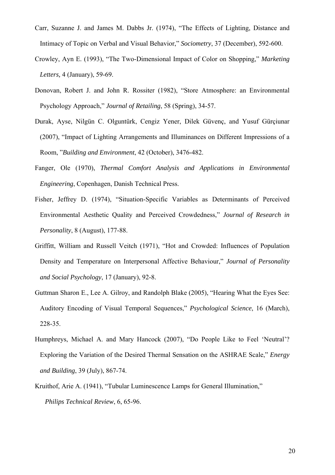- Carr, Suzanne J. and James M. Dabbs Jr. (1974), "The Effects of Lighting, Distance and Intimacy of Topic on Verbal and Visual Behavior," *Sociometry*, 37 (December), 592-600.
- Crowley, Ayn E. (1993), "The Two-Dimensional Impact of Color on Shopping," *Marketing Letters,* 4 (January), 59-69.
- Donovan, Robert J. and John R. Rossiter (1982), "Store Atmosphere: an Environmental Psychology Approach," *Journal of Retailing*, 58 (Spring), 34-57.
- Durak, Ayse, Nilgün C. Olguntürk, Cengiz Yener, Dilek Güvenç, and Yusuf Gürçiunar (2007), "Impact of Lighting Arrangements and Illuminances on Different Impressions of a Room, "*Building and Environment*, 42 (October), 3476-482.
- Fanger, Ole (1970), *Thermal Comfort Analysis and Applications in Environmental Engineering*, Copenhagen, Danish Technical Press.
- Fisher, Jeffrey D. (1974), "Situation-Specific Variables as Determinants of Perceived Environmental Aesthetic Quality and Perceived Crowdedness," *Journal of Research in Personality*, 8 (August), 177-88.
- Griffitt, William and Russell Veitch (1971), "Hot and Crowded: Influences of Population Density and Temperature on Interpersonal Affective Behaviour," *Journal of Personality and Social Psychology*, 17 (January), 92-8.
- Guttman Sharon E., Lee A. Gilroy, and Randolph Blake (2005), "Hearing What the Eyes See: Auditory Encoding of Visual Temporal Sequences," *Psychological Science*, 16 (March), 228-35.
- Humphreys, Michael A. and Mary Hancock (2007), "Do People Like to Feel 'Neutral'? Exploring the Variation of the Desired Thermal Sensation on the ASHRAE Scale," *Energy and Building*, 39 (July), 867-74.
- Kruithof, Arie A. (1941), "Tubular Luminescence Lamps for General Illumination," *Philips Technical Review*, 6, 65-96.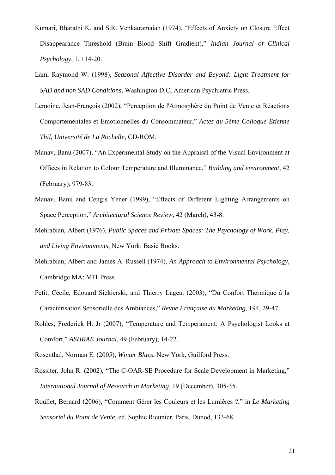- Kumari, Bharathi K. and S.R. Venkatramaiah (1974), "Effects of Anxiety on Closure Effect Disappearance Threshold (Brain Blood Shift Gradient)," *Indian Journal of Clinical Psychology*, 1, 114-20.
- Lam, Raymond W. (1998), *Seasonal Affective Disorder and Beyond: Light Treatment for SAD and non SAD Conditions*, Washington D.C, American Psychiatric Press.
- Lemoine, Jean-François (2002), "Perception de l'Atmosphère du Point de Vente et Réactions Comportementales et Emotionnelles du Consommateur," *Actes du 5ème Colloque Etienne Thil, Université de La Rochelle*, CD-ROM.
- Manav, Banu (2007), "An Experimental Study on the Appraisal of the Visual Environment at Offices in Relation to Colour Temperature and Illuminance," *Building and environment*, 42 (February), 979-83.
- Manav, Banu and Cengis Yener (1999), "Effects of Different Lighting Arrangements on Space Perception," *Architectural Science Review,* 42 (March), 43-8.
- Mehrabian, Albert (1976), *Public Spaces and Private Spaces: The Psychology of Work, Play, and Living Environments*, New York: Basic Books.
- Mehrabian, Albert and James A. Russell (1974), *An Approach to Environmental Psychology*, Cambridge MA: MIT Press.
- Petit, Cécile, Edouard Siekierski, and Thierry Lageat (2003), "Du Confort Thermique à la Caractérisation Sensorielle des Ambiances," *Revue Française du Marketing*, 194, 29-47.
- Rohles, Frederick H. Jr (2007), "Temperature and Temperament: A Psychologist Looks at Comfort," *ASHRAE Journal*, 49 (February), 14-22.
- Rosenthal, Norman E. (2005), *Winter Blues*, New York, Guilford Press.
- Rossiter, John R. (2002), "The C-OAR-SE Procedure for Scale Development in Marketing," *International Journal of Research in Marketing*, 19 (December), 305-35.
- Roullet, Bernard (2006), "Comment Gérer les Couleurs et les Lumières ?," in *Le Marketing Sensoriel du Point de Vente*, ed. Sophie Rieunier, Paris, Dunod, 133-68.